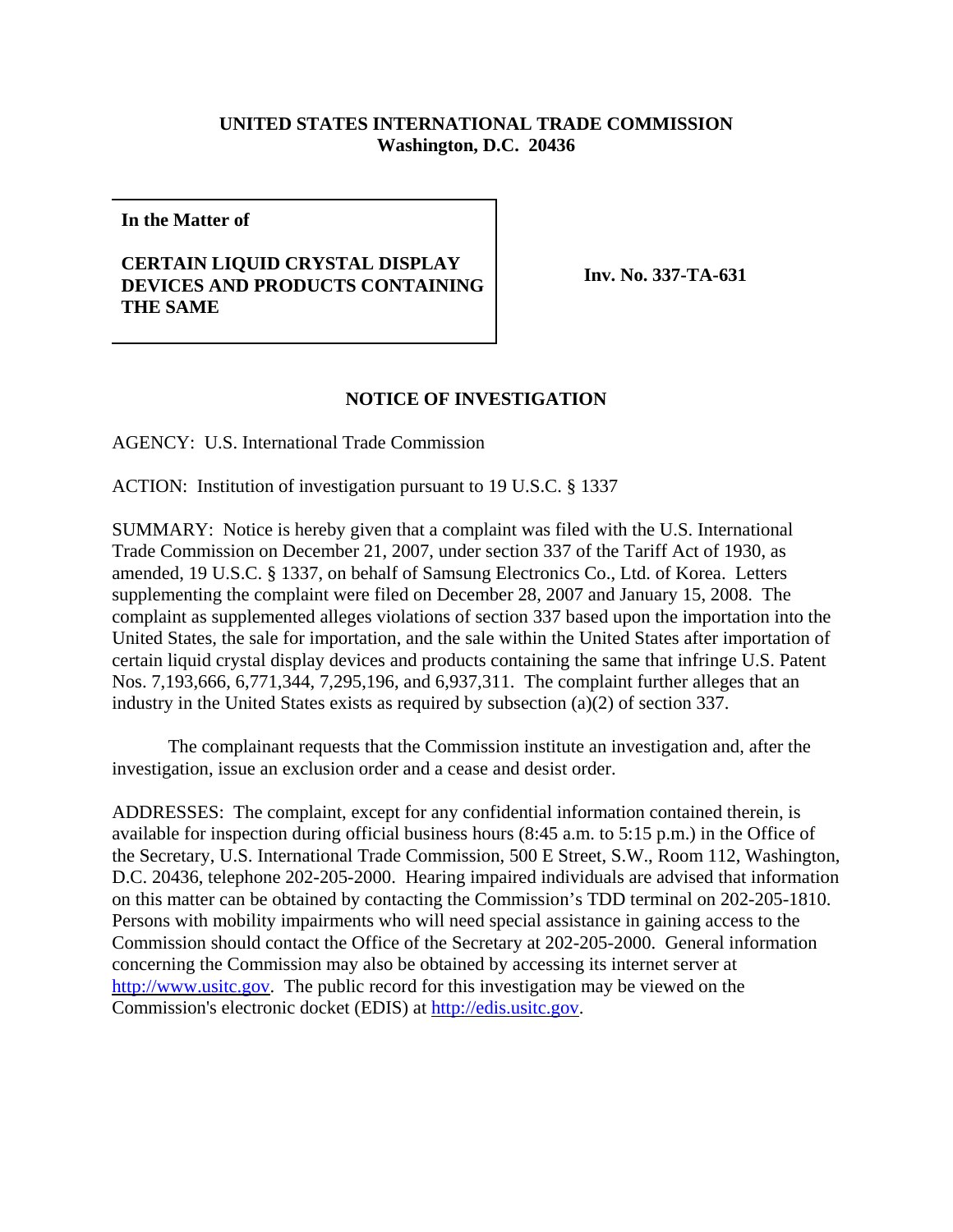## **UNITED STATES INTERNATIONAL TRADE COMMISSION Washington, D.C. 20436**

**In the Matter of**

## **CERTAIN LIQUID CRYSTAL DISPLAY DEVICES AND PRODUCTS CONTAINING THE SAME**

**Inv. No. 337-TA-631**

## **NOTICE OF INVESTIGATION**

AGENCY: U.S. International Trade Commission

ACTION: Institution of investigation pursuant to 19 U.S.C. § 1337

SUMMARY: Notice is hereby given that a complaint was filed with the U.S. International Trade Commission on December 21, 2007, under section 337 of the Tariff Act of 1930, as amended, 19 U.S.C. § 1337, on behalf of Samsung Electronics Co., Ltd. of Korea. Letters supplementing the complaint were filed on December 28, 2007 and January 15, 2008. The complaint as supplemented alleges violations of section 337 based upon the importation into the United States, the sale for importation, and the sale within the United States after importation of certain liquid crystal display devices and products containing the same that infringe U.S. Patent Nos. 7,193,666, 6,771,344, 7,295,196, and 6,937,311. The complaint further alleges that an industry in the United States exists as required by subsection (a)(2) of section 337.

The complainant requests that the Commission institute an investigation and, after the investigation, issue an exclusion order and a cease and desist order.

ADDRESSES: The complaint, except for any confidential information contained therein, is available for inspection during official business hours (8:45 a.m. to 5:15 p.m.) in the Office of the Secretary, U.S. International Trade Commission, 500 E Street, S.W., Room 112, Washington, D.C. 20436, telephone 202-205-2000. Hearing impaired individuals are advised that information on this matter can be obtained by contacting the Commission's TDD terminal on 202-205-1810. Persons with mobility impairments who will need special assistance in gaining access to the Commission should contact the Office of the Secretary at 202-205-2000. General information concerning the Commission may also be obtained by accessing its internet server at http://www.usitc.gov. The public record for this investigation may be viewed on the Commission's electronic docket (EDIS) at http://edis.usitc.gov.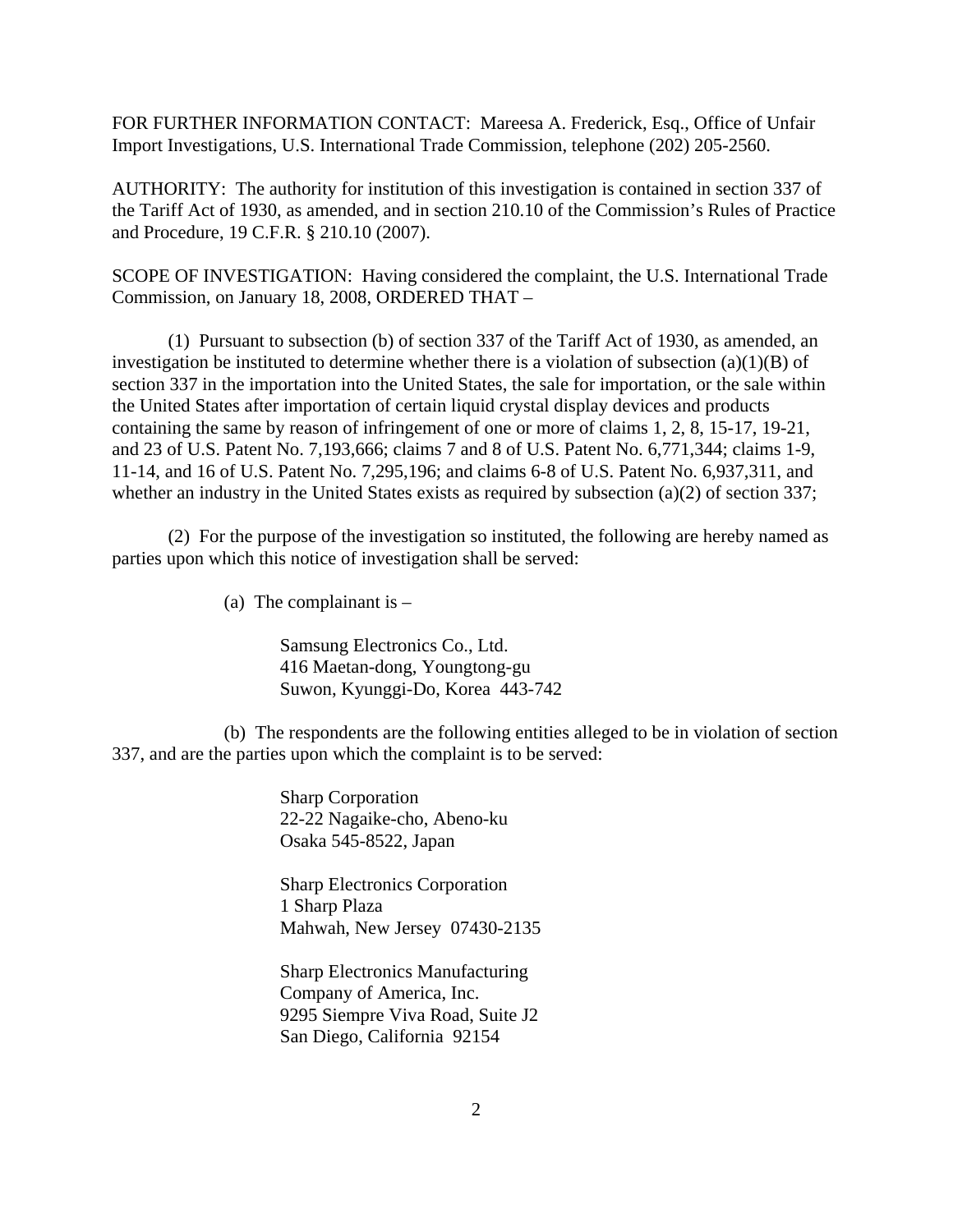FOR FURTHER INFORMATION CONTACT: Mareesa A. Frederick, Esq., Office of Unfair Import Investigations, U.S. International Trade Commission, telephone (202) 205-2560.

AUTHORITY: The authority for institution of this investigation is contained in section 337 of the Tariff Act of 1930, as amended, and in section 210.10 of the Commission's Rules of Practice and Procedure, 19 C.F.R. § 210.10 (2007).

SCOPE OF INVESTIGATION: Having considered the complaint, the U.S. International Trade Commission, on January 18, 2008, ORDERED THAT –

(1) Pursuant to subsection (b) of section 337 of the Tariff Act of 1930, as amended, an investigation be instituted to determine whether there is a violation of subsection  $(a)(1)(B)$  of section 337 in the importation into the United States, the sale for importation, or the sale within the United States after importation of certain liquid crystal display devices and products containing the same by reason of infringement of one or more of claims 1, 2, 8, 15-17, 19-21, and 23 of U.S. Patent No. 7,193,666; claims 7 and 8 of U.S. Patent No. 6,771,344; claims 1-9, 11-14, and 16 of U.S. Patent No. 7,295,196; and claims 6-8 of U.S. Patent No. 6,937,311, and whether an industry in the United States exists as required by subsection (a)(2) of section 337;

(2) For the purpose of the investigation so instituted, the following are hereby named as parties upon which this notice of investigation shall be served:

(a) The complainant is  $-$ 

Samsung Electronics Co., Ltd. 416 Maetan-dong, Youngtong-gu Suwon, Kyunggi-Do, Korea 443-742

(b) The respondents are the following entities alleged to be in violation of section 337, and are the parties upon which the complaint is to be served:

> Sharp Corporation 22-22 Nagaike-cho, Abeno-ku Osaka 545-8522, Japan

Sharp Electronics Corporation 1 Sharp Plaza Mahwah, New Jersey 07430-2135

Sharp Electronics Manufacturing Company of America, Inc. 9295 Siempre Viva Road, Suite J2 San Diego, California 92154